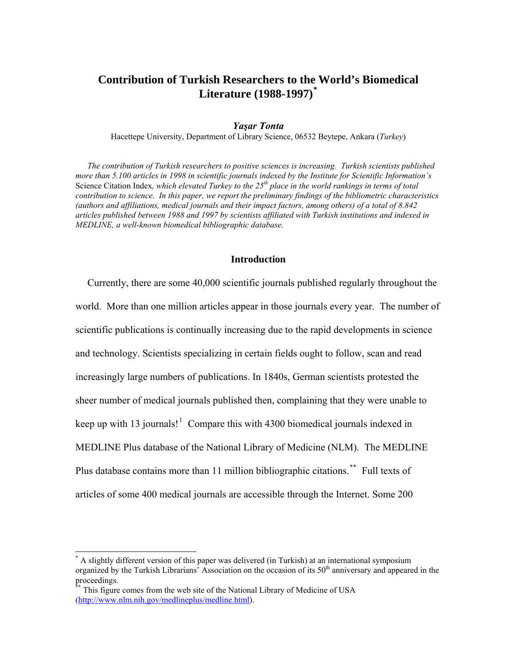# **Contribution of Turkish Researchers to the World's Biomedical Literature (1988-1997)[\\*](#page-0-0)**

# *Yaşar Tonta*

Hacettepe University, Department of Library Science, 06532 Beytepe, Ankara (*Turkey*)

*The contribution of Turkish researchers to positive sciences is increasing. Turkish scientists published more than 5.100 articles in 1998 in scientific journals indexed by the Institute for Scientific Information's*  Science Citation Index, which elevated Turkey to the 25<sup>th</sup> place in the world rankings in terms of total *contribution to science. In this paper, we report the preliminary findings of the bibliometric characteristics (authors and affiliations, medical journals and their impact factors, among others) of a total of 8.842 articles published between 1988 and 1997 by scientists affiliated with Turkish institutions and indexed in MEDLINE, a well-known biomedical bibliographic database.*

### **Introduction**

Currently, there are some 40,000 scientific journals published regularly throughout the world. More than one million articles appear in those journals every year. The number of scientific publications is continually increasing due to the rapid developments in science and technology. Scientists specializing in certain fields ought to follow, scan and read increasingly large numbers of publications. In 1840s, German scientists protested the sheer number of medical journals published then, complaining that they were unable to keep up with [1](#page-15-0)3 journals!<sup>1</sup> Compare this with 4300 biomedical journals indexed in MEDLINE Plus database of the National Library of Medicine (NLM). The MEDLINE Plus database contains more than 11 million bibliographic citations.[\\*\\*](#page-0-1) Full texts of articles of some 400 medical journals are accessible through the Internet. Some 200

 $\overline{a}$ 

<span id="page-0-0"></span><sup>\*</sup> A slightly different version of this paper was delivered (in Turkish) at an international symposium organized by the Turkish Librarians' Association on the occasion of its  $50<sup>th</sup>$  anniversary and appeared in the proceedings.

<span id="page-0-1"></span>This figure comes from the web site of the National Library of Medicine of USA [\(http://www.nlm.nih.gov/medlineplus/medline.html](http://www.nlm.nih.gov/medlineplus/medline.html)).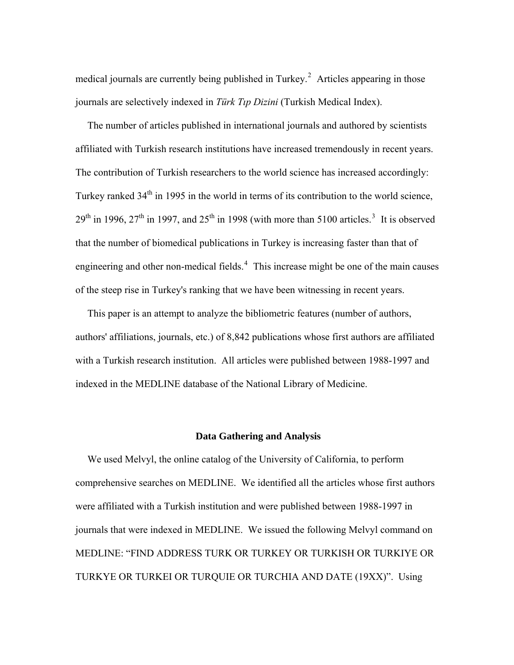medical journals are currently being published in Turkey.<sup>[2](#page-15-1)</sup> Articles appearing in those journals are selectively indexed in *Türk Tıp Dizini* (Turkish Medical Index).

The number of articles published in international journals and authored by scientists affiliated with Turkish research institutions have increased tremendously in recent years. The contribution of Turkish researchers to the world science has increased accordingly: Turkey ranked  $34<sup>th</sup>$  in 1995 in the world in terms of its contribution to the world science,  $29<sup>th</sup>$  in 1996,  $27<sup>th</sup>$  in 1997, and  $25<sup>th</sup>$  in 1998 (with more than 5100 articles.<sup>[3](#page-15-1)</sup> It is observed that the number of biomedical publications in Turkey is increasing faster than that of engineering and other non-medical fields. $4$  This increase might be one of the main causes of the steep rise in Turkey's ranking that we have been witnessing in recent years.

This paper is an attempt to analyze the bibliometric features (number of authors, authors' affiliations, journals, etc.) of 8,842 publications whose first authors are affiliated with a Turkish research institution. All articles were published between 1988-1997 and indexed in the MEDLINE database of the National Library of Medicine.

# **Data Gathering and Analysis**

We used Melvyl, the online catalog of the University of California, to perform comprehensive searches on MEDLINE. We identified all the articles whose first authors were affiliated with a Turkish institution and were published between 1988-1997 in journals that were indexed in MEDLINE. We issued the following Melvyl command on MEDLINE: "FIND ADDRESS TURK OR TURKEY OR TURKISH OR TURKIYE OR TURKYE OR TURKEI OR TURQUIE OR TURCHIA AND DATE (19XX)". Using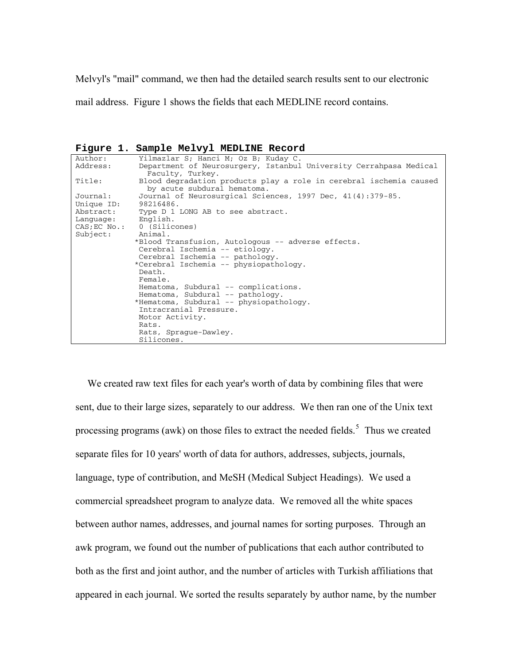Melvyl's "mail" command, we then had the detailed search results sent to our electronic

mail address. Figure 1 shows the fields that each MEDLINE record contains.

**Figure 1. Sample Melvyl MEDLINE Record** 

| Author:    | Yilmazlar S; Hanci M; Oz B; Kuday C.                                                              |
|------------|---------------------------------------------------------------------------------------------------|
| Address:   | Department of Neurosurgery, Istanbul University Cerrahpasa Medical<br>Faculty, Turkey.            |
| Title:     | Blood degradation products play a role in cerebral ischemia caused<br>by acute subdural hematoma. |
| Journal:   | Journal of Neurosurgical Sciences, 1997 Dec, 41(4):379-85.                                        |
| Unique ID: | 98216486.                                                                                         |
| Abstract:  | Type D 1 LONG AB to see abstract.                                                                 |
| Language:  | English.                                                                                          |
|            | CAS; EC No.: 0 (Silicones)                                                                        |
| Subject:   | Animal.                                                                                           |
|            | *Blood Transfusion, Autologous -- adverse effects.                                                |
|            | Cerebral Ischemia -- etiology.                                                                    |
|            | Cerebral Ischemia -- pathology.                                                                   |
|            | *Cerebral Ischemia -- physiopathology.                                                            |
|            | Death.                                                                                            |
|            | Female.                                                                                           |
|            | Hematoma, Subdural $--$ complications.                                                            |
|            | Hematoma, Subdural -- pathology.                                                                  |
|            | *Hematoma, Subdural -- physiopathology.                                                           |
|            | Intracranial Pressure.                                                                            |
|            | Motor Activity.                                                                                   |
|            | Rats.                                                                                             |
|            | Rats, Spraque-Dawley.                                                                             |
|            | Silicones.                                                                                        |

We created raw text files for each year's worth of data by combining files that were sent, due to their large sizes, separately to our address. We then ran one of the Unix text processing programs (awk) on those files to extract the needed fields.<sup>[5](#page-15-1)</sup> Thus we created separate files for 10 years' worth of data for authors, addresses, subjects, journals, language, type of contribution, and MeSH (Medical Subject Headings). We used a commercial spreadsheet program to analyze data. We removed all the white spaces between author names, addresses, and journal names for sorting purposes. Through an awk program, we found out the number of publications that each author contributed to both as the first and joint author, and the number of articles with Turkish affiliations that appeared in each journal. We sorted the results separately by author name, by the number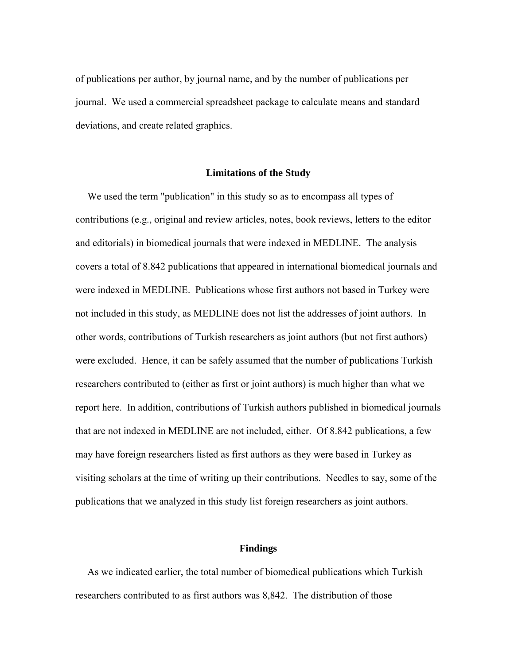of publications per author, by journal name, and by the number of publications per journal. We used a commercial spreadsheet package to calculate means and standard deviations, and create related graphics.

#### **Limitations of the Study**

We used the term "publication" in this study so as to encompass all types of contributions (e.g., original and review articles, notes, book reviews, letters to the editor and editorials) in biomedical journals that were indexed in MEDLINE. The analysis covers a total of 8.842 publications that appeared in international biomedical journals and were indexed in MEDLINE. Publications whose first authors not based in Turkey were not included in this study, as MEDLINE does not list the addresses of joint authors. In other words, contributions of Turkish researchers as joint authors (but not first authors) were excluded. Hence, it can be safely assumed that the number of publications Turkish researchers contributed to (either as first or joint authors) is much higher than what we report here. In addition, contributions of Turkish authors published in biomedical journals that are not indexed in MEDLINE are not included, either. Of 8.842 publications, a few may have foreign researchers listed as first authors as they were based in Turkey as visiting scholars at the time of writing up their contributions. Needles to say, some of the publications that we analyzed in this study list foreign researchers as joint authors.

# **Findings**

As we indicated earlier, the total number of biomedical publications which Turkish researchers contributed to as first authors was 8,842. The distribution of those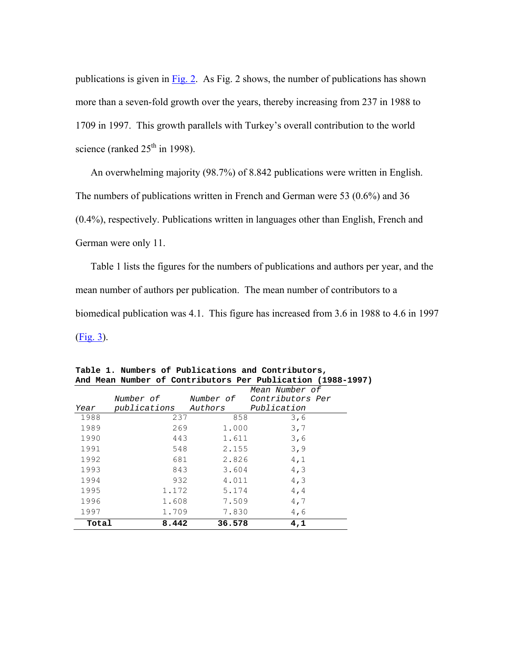publications is given in Fig. 2. As Fig. 2 shows, the number of publications has shown more than a seven-fold growth over the years, thereby increasing from 237 in 1988 to 1709 in 1997. This growth parallels with Turkey's overall contribution to the world science (ranked  $25<sup>th</sup>$  in 1998).

An overwhelming majority (98.7%) of 8.842 publications were written in English. The numbers of publications written in French and German were 53 (0.6%) and 36 (0.4%), respectively. Publications written in languages other than English, French and German were only 11.

Table 1 lists the figures for the numbers of publications and authors per year, and the mean number of authors per publication. The mean number of contributors to a biomedical publication was 4.1. This figure has increased from 3.6 in 1988 to 4.6 in 1997 (Fig. 3).

|       |              |           | Mean Number of   |  |
|-------|--------------|-----------|------------------|--|
|       | Number of    | Number of | Contributors Per |  |
| Year  | publications | Authors   | Publication      |  |
| 1988  | 237          | 858       | 3,6              |  |
| 1989  | 269          | 1.000     | 3,7              |  |
| 1990  | 443          | 1.611     | 3,6              |  |
| 1991  | 548          | 2.155     | 3,9              |  |
| 1992  | 681          | 2.826     | 4,1              |  |
| 1993  | 843          | 3.604     | 4, 3             |  |
| 1994  | 932          | 4.011     | 4, 3             |  |
| 1995  | 1.172        | 5.174     | 4, 4             |  |
| 1996  | 1.608        | 7.509     | 4,7              |  |
| 1997  | 1.709        | 7.830     | 4,6              |  |
| Total | 8.442        | 36.578    | 4,1              |  |

**Table 1. Numbers of Publications and Contributors, And Mean Number of Contributors Per Publication (1988-1997)**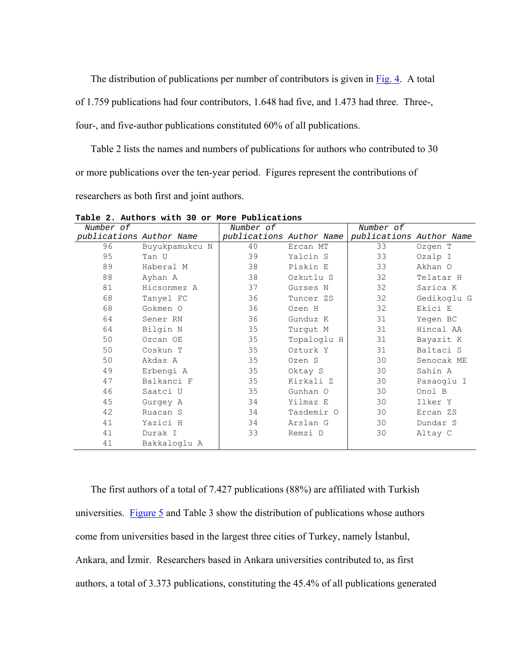The distribution of publications per number of contributors is given in Fig. 4. A total of 1.759 publications had four contributors, 1.648 had five, and 1.473 had three. Three-, four-, and five-author publications constituted 60% of all publications.

Table 2 lists the names and numbers of publications for authors who contributed to 30 or more publications over the ten-year period. Figures represent the contributions of researchers as both first and joint authors.

| Number of                |                | Number of                |             | Number of                |             |
|--------------------------|----------------|--------------------------|-------------|--------------------------|-------------|
| publications Author Name |                | publications Author Name |             | publications Author Name |             |
| 96                       | Buyukpamukcu N | 40                       | Ercan MT    | 33                       | Ozgen T     |
| 95                       | Tan U          | 39                       | Yalcin S    | 33                       | Ozalp I     |
| 89                       | Haberal M      | 38                       | Piskin E    | 33                       | Akhan O     |
| 88                       | Ayhan A        | 38                       | Ozkutlu S   | 32                       | Telatar H   |
| 81                       | Hicsonmez A    | 37                       | Gurses N    | 32                       | Sarica K    |
| 68                       | Tanyel FC      | 36                       | Tuncer ZS   | 32                       | Gedikoglu G |
| 68                       | Gokmen O       | 36                       | Ozen H      | 32                       | Ekici E     |
| 64                       | Sener RN       | 36                       | Gunduz K    | 31                       | Yegen BC    |
| 64                       | Bilgin N       | 35                       | Turgut M    | 31                       | Hincal AA   |
| 50                       | Ozcan OE       | 35                       | Topaloglu H | 31                       | Bayazit K   |
| 50                       | Coskun T       | 35                       | Ozturk Y    | 31                       | Baltaci S   |
| 50                       | Akdas A        | 35                       | Ozen S      | 30                       | Senocak ME  |
| 49                       | Erbengi A      | 35                       | Oktay S     | 30                       | Sahin A     |
| 47                       | Balkanci F     | 35                       | Kirkali Z   | 30                       | Pasaoqlu I  |
| 46                       | Saatci U       | 35                       | Gunhan O    | 30                       | Onol B      |
| 45                       | Gurgey A       | 34                       | Yilmaz E    | 30                       | Ilker Y     |
| 42                       | Ruacan S       | 34                       | Tasdemir O  | 30                       | Ercan ZS    |
| 41                       | Yazici H       | 34                       | Arslan G    | 30                       | Dundar S    |
| 41                       | Durak I        | 33                       | Remzi D     | 30                       | Altay C     |
| 41                       | Bakkaloqlu A   |                          |             |                          |             |

**Table 2. Authors with 30 or More Publications** 

The first authors of a total of 7.427 publications (88%) are affiliated with Turkish universities. Figure 5 and Table 3 show the distribution of publications whose authors come from universities based in the largest three cities of Turkey, namely İstanbul, Ankara, and İzmir. Researchers based in Ankara universities contributed to, as first authors, a total of 3.373 publications, constituting the 45.4% of all publications generated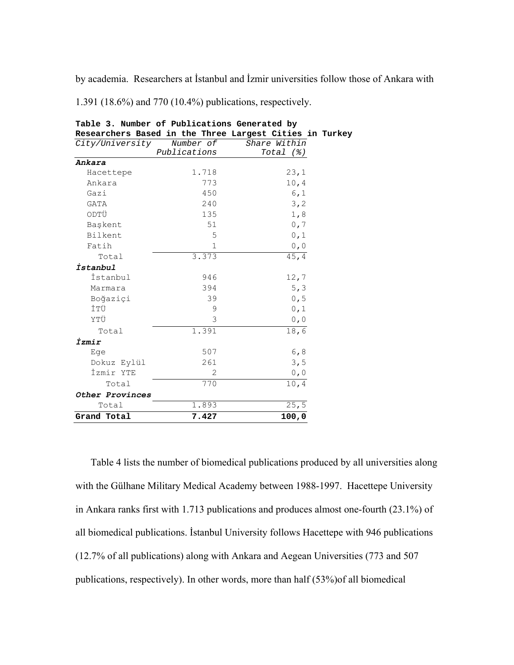by academia. Researchers at İstanbul and İzmir universities follow those of Ankara with

1.391 (18.6%) and 770 (10.4%) publications, respectively.

| Researchers Based in the Three Largest Cities in Turk |              |              |                    |  |
|-------------------------------------------------------|--------------|--------------|--------------------|--|
| City/University                                       | Number of    |              | Share Within       |  |
|                                                       | Publications |              | $Total$ $(%)$      |  |
| Ankara                                                |              |              |                    |  |
| Hacettepe                                             |              | 1.718        | 23,1               |  |
| Ankara                                                |              | 773          | 10, 4              |  |
| Gazi                                                  |              | 450          | 6,1                |  |
| <b>GATA</b>                                           |              | 240          | 3, 2               |  |
| ODTÜ                                                  |              | 135          | 1,8                |  |
| Baskent                                               |              | 51           | 0,7                |  |
| Bilkent                                               |              | 5            | 0, 1               |  |
| Fatih                                                 |              | $\mathbf{1}$ | 0, 0               |  |
| Total                                                 |              | 3.373        | $\overline{4}$ 5,4 |  |
| İstanbul                                              |              |              |                    |  |
| İstanbul                                              |              | 946          | 12,7               |  |
| Marmara                                               |              | 394          | 5, 3               |  |
| Boğaziçi                                              |              | 39           | 0, 5               |  |
| İTÜ                                                   |              | 9            | 0, 1               |  |
| YTÜ                                                   |              | 3            | 0, 0               |  |
| Total                                                 |              | 1.391        | 18,6               |  |
| İzmir                                                 |              |              |                    |  |
| Ege                                                   |              | 507          | 6, 8               |  |
| Dokuz Eylül                                           |              | 261          | 3, 5               |  |
| İzmir YTE                                             |              | 2            | 0, 0               |  |
| Total                                                 |              | 770          | 10, 4              |  |
| Other Provinces                                       |              |              |                    |  |
| Total                                                 |              | 1.893        | 25, 5              |  |
| Grand Total                                           |              | 7.427        | 100,0              |  |
|                                                       |              |              |                    |  |

**Table 3. Number of Publications Generated by Researchers Based in the Three Largest Cities in Turkey** 

Table 4 lists the number of biomedical publications produced by all universities along with the Gülhane Military Medical Academy between 1988-1997. Hacettepe University in Ankara ranks first with 1.713 publications and produces almost one-fourth (23.1%) of all biomedical publications. İstanbul University follows Hacettepe with 946 publications (12.7% of all publications) along with Ankara and Aegean Universities (773 and 507 publications, respectively). In other words, more than half (53%)of all biomedical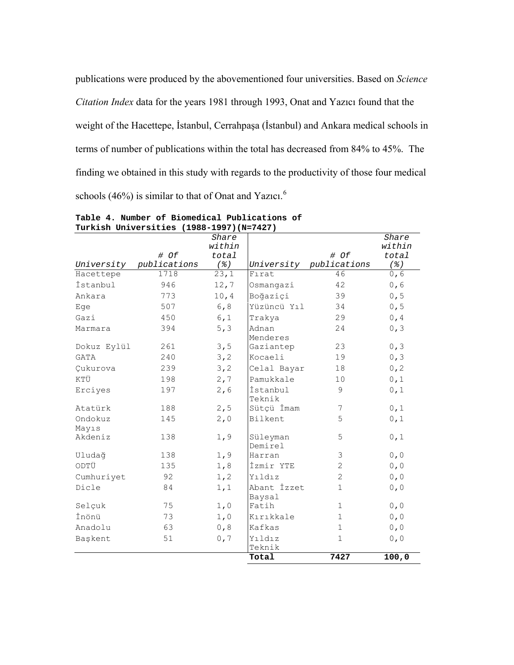publications were produced by the abovementioned four universities. Based on *Science Citation Index* data for the years 1981 through 1993, Onat and Yazıcı found that the weight of the Hacettepe, İstanbul, Cerrahpaşa (İstanbul) and Ankara medical schools in terms of number of publications within the total has decreased from 84% to 45%. The finding we obtained in this study with regards to the productivity of those four medical schools  $(46%)$  $(46%)$  $(46%)$  is similar to that of Onat and Yazıcı.<sup>6</sup>

|                  |              | Share             |                       |              | Share     |
|------------------|--------------|-------------------|-----------------------|--------------|-----------|
|                  |              | within            |                       |              | within    |
|                  | # Of         | total             |                       | # Of         | total     |
| University       | publications | $($ % $)$         | University            | publications | $($ % $)$ |
| Hacettepe        | 1718         | $\overline{23,1}$ | Firat                 | 46           | 0,6       |
| İstanbul         | 946          | 12,7              | Osmangazi             | 42           | 0,6       |
| Ankara           | 773          | 10, 4             | Boğaziçi              | 39           | 0, 5      |
| Eqe              | 507          | 6, 8              | Yüzüncü Yıl           | 34           | 0, 5      |
| Gazi             | 450          | 6,1               | Trakya                | 29           | 0, 4      |
| Marmara          | 394          | 5, 3              | Adnan<br>Menderes     | 24           | 0, 3      |
| Dokuz Eylül      | 261          | 3, 5              | Gaziantep             | 23           | 0, 3      |
| <b>GATA</b>      | 240          | 3, 2              | Kocaeli               | 19           | 0, 3      |
| Cukurova         | 239          | 3, 2              | Celal Bayar           | 18           | 0, 2      |
| KTÜ              | 198          | 2, 7              | Pamukkale             | 10           | 0, 1      |
| Erciyes          | 197          | 2,6               | İstanbul<br>Teknik    | 9            | 0, 1      |
| Atatürk          | 188          | 2, 5              | Sütçü İmam            | 7            | 0,1       |
| Ondokuz<br>Mayıs | 145          | 2,0               | Bilkent               | 5            | 0, 1      |
| Akdeniz          | 138          | 1,9               | Süleyman<br>Demirel   | 5            | 0, 1      |
| Uludağ           | 138          | 1,9               | Harran                | 3            | 0, 0      |
| ODTÜ             | 135          | 1,8               | İzmir YTE             | 2            | 0, 0      |
| Cumhuriyet       | 92           | 1, 2              | Yıldız                | 2            | 0, 0      |
| Dicle            | 84           | 1,1               | Abant İzzet<br>Baysal | $\mathbf{1}$ | 0, 0      |
| Selçuk           | 75           | 1,0               | Fatih                 | $\mathbf{1}$ | 0, 0      |
| İnönü            | 73           | 1,0               | Kırıkkale             | $\mathbf{1}$ | 0, 0      |
| Anadolu          | 63           | 0, 8              | Kafkas                | $\mathbf{1}$ | 0, 0      |
| Başkent          | 51           | 0,7               | Yıldız                | $\mathbf{1}$ | 0, 0      |
|                  |              |                   | Teknik<br>Total       | 7427         | 100,0     |
|                  |              |                   |                       |              |           |

**Table 4. Number of Biomedical Publications of Turkish Universities (1988-1997)(N=7427)**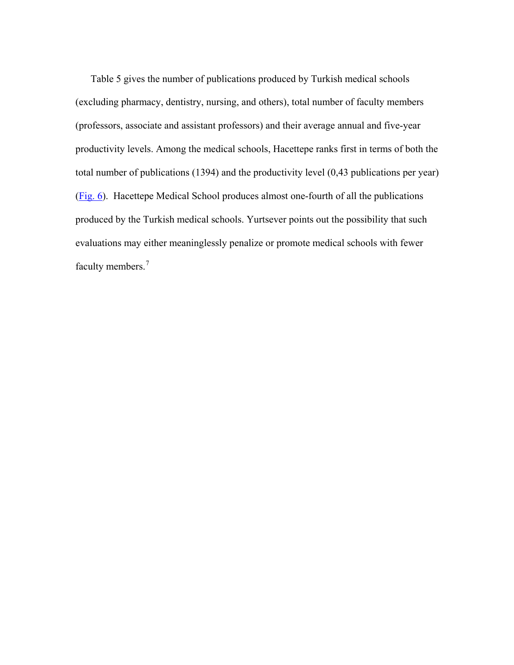Table 5 gives the number of publications produced by Turkish medical schools (excluding pharmacy, dentistry, nursing, and others), total number of faculty members (professors, associate and assistant professors) and their average annual and five-year productivity levels. Among the medical schools, Hacettepe ranks first in terms of both the total number of publications (1394) and the productivity level (0,43 publications per year) (Fig. 6). Hacettepe Medical School produces almost one-fourth of all the publications produced by the Turkish medical schools. Yurtsever points out the possibility that such evaluations may either meaninglessly penalize or promote medical schools with fewer faculty members.<sup>[7](#page-15-1)</sup>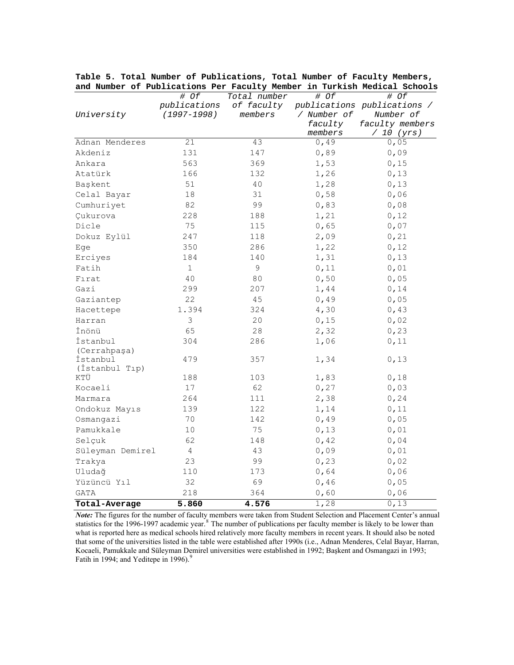|                       | # Of            | Total number | # Of        | # Of                        |
|-----------------------|-----------------|--------------|-------------|-----------------------------|
|                       | publications    | of faculty   |             | publications publications / |
| University            | $(1997 - 1998)$ | members      | / Number of | Number of                   |
|                       |                 |              | faculty     | faculty members             |
|                       |                 |              | members     | / 10 (yrs)                  |
| Adnan Menderes        | 21              | 43           | 0,49        | 0,05                        |
| Akdeniz               | 131             | 147          | 0,89        | 0,09                        |
| Ankara                | 563             | 369          | 1,53        | 0,15                        |
| Atatürk               | 166             | 132          | 1,26        | 0,13                        |
| Baskent               | 51              | 40           | 1,28        | 0,13                        |
| Celal Bayar           | 18              | 31           | 0,58        | 0,06                        |
| Cumhuriyet            | 82              | 99           | 0,83        | 0,08                        |
| Cukurova              | 228             | 188          | 1,21        | 0,12                        |
| Dicle                 | 75              | 115          | 0,65        | 0,07                        |
| Dokuz Eylül           | 247             | 118          | 2,09        | 0,21                        |
| Eqe                   | 350             | 286          | 1,22        | 0,12                        |
| Erciyes               | 184             | 140          | 1,31        | 0,13                        |
| Fatih                 | $1\,$           | 9            | 0,11        | 0,01                        |
| Firat                 | 40              | 80           | 0,50        | 0,05                        |
| Gazi                  | 299             | 207          | 1,44        | 0,14                        |
| Gaziantep             | 22              | 45           | 0,49        | 0,05                        |
| Hacettepe             | 1.394           | 324          | 4,30        | 0,43                        |
| Harran                | 3               | 20           | 0,15        | 0,02                        |
| İnönü                 | 65              | 28           | 2,32        | 0, 23                       |
| İstanbul              | 304             | 286          | 1,06        | 0,11                        |
| (Cerrahpaşa)          |                 |              |             |                             |
| İstanbul              | 479             | 357          | 1,34        | 0,13                        |
| (İstanbul Tıp)<br>KTÜ | 188             | 103          | 1,83        | 0,18                        |
| Kocaeli               | 17              | 62           | 0, 27       | 0,03                        |
| Marmara               | 264             | 111          | 2,38        | 0, 24                       |
| Ondokuz Mayıs         | 139             | 122          | 1,14        | 0,11                        |
| Osmangazi             | 70              | 142          | 0,49        | 0,05                        |
| Pamukkale             | 10              | 75           | 0,13        | 0,01                        |
| Selcuk                | 62              | 148          | 0,42        | 0,04                        |
| Süleyman Demirel      | 4               | 43           | 0,09        | 0,01                        |
| Trakya                | 23              | 99           | 0, 23       | 0,02                        |
| Uludağ                | 110             | 173          | 0,64        | 0,06                        |
| Yüzüncü Yıl           | 32              | 69           | 0,46        | 0,05                        |
| GATA                  | 218             | 364          | 0,60        | 0,06                        |
| Total-Average         | 5.860           | 4.576        | 1,28        | 0,13                        |
|                       |                 |              |             |                             |

**Table 5. Total Number of Publications, Total Number of Faculty Members, and Number of Publications Per Faculty Member in Turkish Medical Schools** 

*Note:* The figures for the number of faculty members were taken from Student Selection and Placement Center's annual statistics for the 1996-1997 academic year.<sup>[8](#page-15-1)</sup> The number of publications per faculty member is likely to be lower than what is reported here as medical schools hired relatively more faculty members in recent years. It should also be noted that some of the universities listed in the table were established after 1990s (i.e., Adnan Menderes, Celal Bayar, Harran, Kocaeli, Pamukkale and Süleyman Demirel universities were established in 1992; Başkent and Osmangazi in 1993; Fatih in 1[9](#page-15-1)94; and Yeditepe in 1996).<sup>9</sup>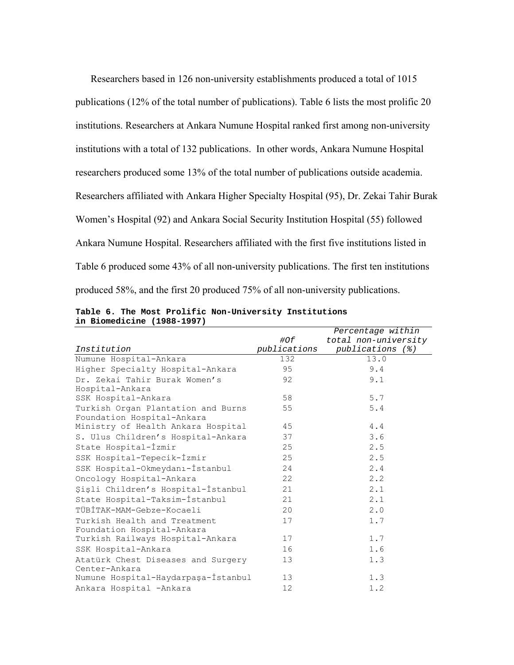Researchers based in 126 non-university establishments produced a total of 1015 publications (12% of the total number of publications). Table 6 lists the most prolific 20 institutions. Researchers at Ankara Numune Hospital ranked first among non-university institutions with a total of 132 publications. In other words, Ankara Numune Hospital researchers produced some 13% of the total number of publications outside academia. Researchers affiliated with Ankara Higher Specialty Hospital (95), Dr. Zekai Tahir Burak Women's Hospital (92) and Ankara Social Security Institution Hospital (55) followed Ankara Numune Hospital. Researchers affiliated with the first five institutions listed in Table 6 produced some 43% of all non-university publications. The first ten institutions produced 58%, and the first 20 produced 75% of all non-university publications.

|                                     |              | Percentage within    |
|-------------------------------------|--------------|----------------------|
|                                     | #Of          | total non-university |
| Institution                         | publications | publications (%)     |
| Numune Hospital-Ankara              | 132          | 13.0                 |
| Higher Specialty Hospital-Ankara    | 95           | 9.4                  |
| Dr. Zekai Tahir Burak Women's       | 92           | 9.1                  |
| Hospital-Ankara                     |              |                      |
| SSK Hospital-Ankara                 | 58           | 5.7                  |
| Turkish Organ Plantation and Burns  | 55           | 5.4                  |
| Foundation Hospital-Ankara          |              |                      |
| Ministry of Health Ankara Hospital  | 45           | 4.4                  |
| S. Ulus Children's Hospital-Ankara  | 37           | 3.6                  |
| State Hospital-İzmir                | 25           | 2.5                  |
| SSK Hospital-Tepecik-İzmir          | 25           | 2.5                  |
| SSK Hospital-Okmeydanı-İstanbul     | 24           | 2.4                  |
| Oncology Hospital-Ankara            | 22           | 2.2                  |
| Şişli Children's Hospital-İstanbul  | 21           | 2.1                  |
| State Hospital-Taksim-İstanbul      | 21           | 2.1                  |
| TÜBİTAK-MAM-Gebze-Kocaeli           | 20           | 2.0                  |
| Turkish Health and Treatment        | 17           | 1.7                  |
| Foundation Hospital-Ankara          |              |                      |
| Turkish Railways Hospital-Ankara    | 17           | 1.7                  |
| SSK Hospital-Ankara                 | 16           | 1.6                  |
| Atatürk Chest Diseases and Surgery  | 13           | 1.3                  |
| Center-Ankara                       |              |                      |
| Numune Hospital-Haydarpaşa-İstanbul | 13           | 1.3                  |
| Ankara Hospital - Ankara            | 12           | 1.2                  |

**Table 6. The Most Prolific Non-University Institutions in Biomedicine (1988-1997)**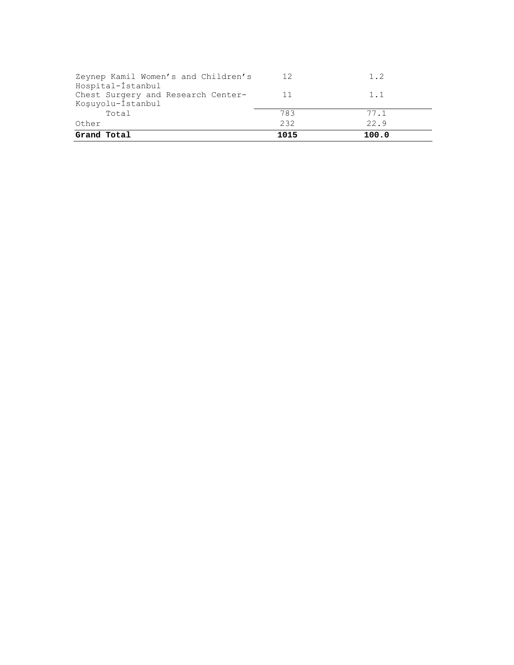| Zeynep Kamil Women's and Children's<br>Hospital-İstanbul | 12   | 1.2   |
|----------------------------------------------------------|------|-------|
| Chest Surgery and Research Center-<br>Koşuyolu-İstanbul  | 11   | 1.1   |
| Total                                                    | 783  | 77.1  |
| Other                                                    | 232  | 22.9  |
| Grand Total                                              | 1015 | 100.0 |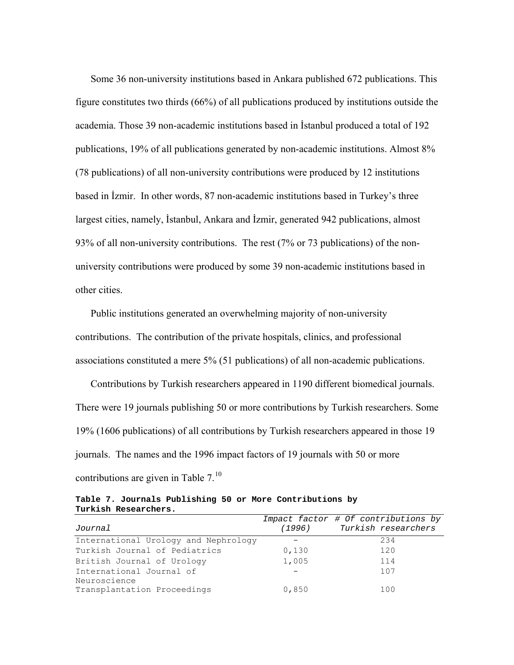Some 36 non-university institutions based in Ankara published 672 publications. This figure constitutes two thirds (66%) of all publications produced by institutions outside the academia. Those 39 non-academic institutions based in İstanbul produced a total of 192 publications, 19% of all publications generated by non-academic institutions. Almost 8% (78 publications) of all non-university contributions were produced by 12 institutions based in İzmir. In other words, 87 non-academic institutions based in Turkey's three largest cities, namely, İstanbul, Ankara and İzmir, generated 942 publications, almost 93% of all non-university contributions. The rest (7% or 73 publications) of the nonuniversity contributions were produced by some 39 non-academic institutions based in other cities.

Public institutions generated an overwhelming majority of non-university contributions. The contribution of the private hospitals, clinics, and professional associations constituted a mere 5% (51 publications) of all non-academic publications.

Contributions by Turkish researchers appeared in 1190 different biomedical journals. There were 19 journals publishing 50 or more contributions by Turkish researchers. Some 19% (1606 publications) of all contributions by Turkish researchers appeared in those 19 journals. The names and the 1996 impact factors of 19 journals with 50 or more contributions are given in Table  $7<sup>10</sup>$  $7<sup>10</sup>$  $7<sup>10</sup>$ 

**Table 7. Journals Publishing 50 or More Contributions by Turkish Researchers.** 

| Journal                              |       | Impact factor # Of contributions by<br>(1996) Turkish researchers |
|--------------------------------------|-------|-------------------------------------------------------------------|
| International Urology and Nephrology |       | 234                                                               |
| Turkish Journal of Pediatrics        | 0,130 | 120                                                               |
| British Journal of Urology           | 1,005 | 114                                                               |
| International Journal of             |       | 107                                                               |
| Neuroscience                         |       |                                                                   |
| Transplantation Proceedings          | 0,850 | 100                                                               |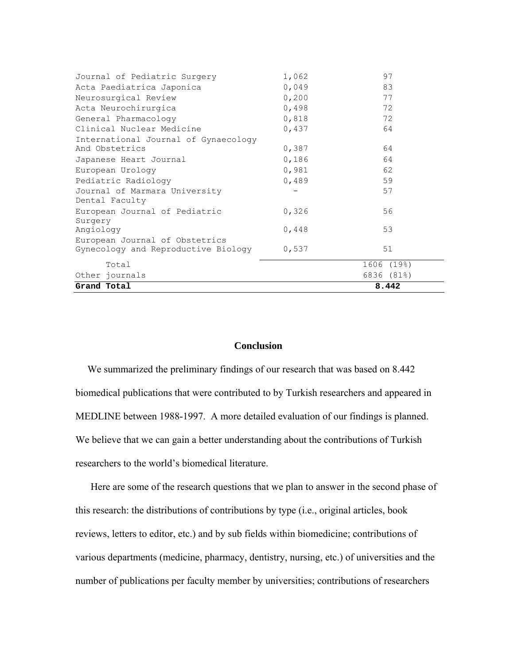| Journal of Pediatric Surgery             | 1,062 | 97         |
|------------------------------------------|-------|------------|
| Acta Paediatrica Japonica                | 0,049 | 83         |
| Neurosurgical Review                     | 0,200 | 77         |
| Acta Neurochirurgica                     | 0,498 | 72         |
| General Pharmacology                     | 0,818 | 72         |
| Clinical Nuclear Medicine                | 0,437 | 64         |
| International Journal of Gynaecology     |       |            |
| And Obstetrics                           | 0,387 | 64         |
| Japanese Heart Journal                   | 0,186 | 64         |
| European Urology                         | 0,981 | 62         |
| Pediatric Radiology                      | 0,489 | 59         |
| Journal of Marmara University            |       | 57         |
| Dental Faculty                           |       |            |
| European Journal of Pediatric<br>Surgery | 0,326 | 56         |
| Angiology                                | 0,448 | 53         |
| European Journal of Obstetrics           |       |            |
| Gynecology and Reproductive Biology      | 0,537 | 51         |
| Total                                    |       | 1606 (19%) |
| Other journals                           |       | 6836 (81%) |
| Grand Total                              |       | 8.442      |

# **Conclusion**

We summarized the preliminary findings of our research that was based on 8.442 biomedical publications that were contributed to by Turkish researchers and appeared in MEDLINE between 1988-1997. A more detailed evaluation of our findings is planned. We believe that we can gain a better understanding about the contributions of Turkish researchers to the world's biomedical literature.

Here are some of the research questions that we plan to answer in the second phase of this research: the distributions of contributions by type (i.e., original articles, book reviews, letters to editor, etc.) and by sub fields within biomedicine; contributions of various departments (medicine, pharmacy, dentistry, nursing, etc.) of universities and the number of publications per faculty member by universities; contributions of researchers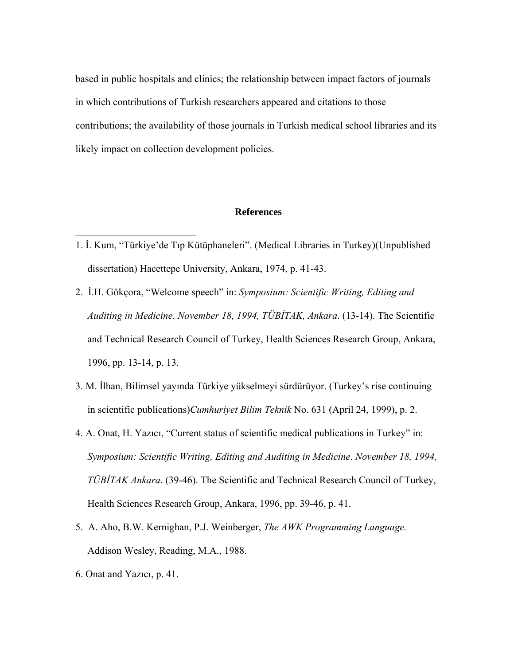based in public hospitals and clinics; the relationship between impact factors of journals in which contributions of Turkish researchers appeared and citations to those contributions; the availability of those journals in Turkish medical school libraries and its likely impact on collection development policies.

# **References**

- 1. İ. Kum, "Türkiye'de Tıp Kütüphaneleri". (Medical Libraries in Turkey)(Unpublished dissertation) Hacettepe University, Ankara, 1974, p. 41-43.
- 2. İ.H. Gökçora, "Welcome speech" in: *Symposium: Scientific Writing, Editing and Auditing in Medicine*. *November 18, 1994, TÜBİTAK, Ankara*. (13-14). The Scientific and Technical Research Council of Turkey, Health Sciences Research Group, Ankara, 1996, pp. 13-14, p. 13.
- 3. M. İlhan, Bilimsel yayında Türkiye yükselmeyi sürdürüyor. (Turkey's rise continuing in scientific publications)*Cumhuriyet Bilim Teknik* No. 631 (April 24, 1999), p. 2.
- 4. A. Onat, H. Yazıcı, "Current status of scientific medical publications in Turkey" in: *Symposium: Scientific Writing, Editing and Auditing in Medicine*. *November 18, 1994, TÜBİTAK Ankara*. (39-46). The Scientific and Technical Research Council of Turkey, Health Sciences Research Group, Ankara, 1996, pp. 39-46, p. 41.
- 5. A. Aho, B.W. Kernighan, P.J. Weinberger, *The AWK Programming Language.* Addison Wesley, Reading, M.A., 1988.
- 6. Onat and Yazıcı, p. 41.

 $\overline{a}$